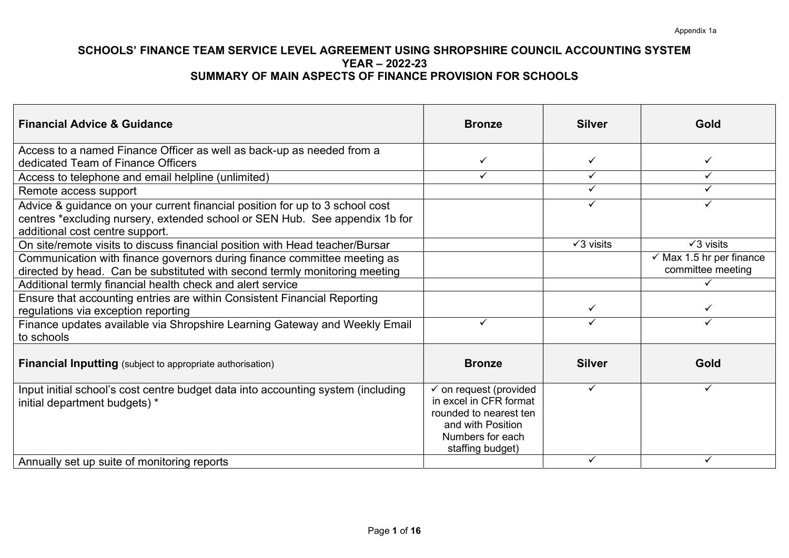| <b>Financial Advice &amp; Guidance</b>                                                                                                                                                         | <b>Bronze</b>                                                                                                                                                 | <b>Silver</b>     | Gold                                                     |
|------------------------------------------------------------------------------------------------------------------------------------------------------------------------------------------------|---------------------------------------------------------------------------------------------------------------------------------------------------------------|-------------------|----------------------------------------------------------|
| Access to a named Finance Officer as well as back-up as needed from a<br>dedicated Team of Finance Officers                                                                                    | ✓                                                                                                                                                             | ✓                 | ✓                                                        |
| Access to telephone and email helpline (unlimited)                                                                                                                                             | ✓                                                                                                                                                             | ✓                 | ✓                                                        |
| Remote access support                                                                                                                                                                          |                                                                                                                                                               | ✓                 | ✓                                                        |
| Advice & guidance on your current financial position for up to 3 school cost<br>centres *excluding nursery, extended school or SEN Hub. See appendix 1b for<br>additional cost centre support. |                                                                                                                                                               | ✓                 | ✓                                                        |
| On site/remote visits to discuss financial position with Head teacher/Bursar                                                                                                                   |                                                                                                                                                               | $\sqrt{3}$ visits | $\sqrt{3}$ visits                                        |
| Communication with finance governors during finance committee meeting as<br>directed by head. Can be substituted with second termly monitoring meeting                                         |                                                                                                                                                               |                   | $\checkmark$ Max 1.5 hr per finance<br>committee meeting |
| Additional termly financial health check and alert service                                                                                                                                     |                                                                                                                                                               |                   |                                                          |
| Ensure that accounting entries are within Consistent Financial Reporting<br>regulations via exception reporting                                                                                |                                                                                                                                                               | $\checkmark$      | ✓                                                        |
| Finance updates available via Shropshire Learning Gateway and Weekly Email<br>to schools                                                                                                       | ✓                                                                                                                                                             | $\checkmark$      | ✓                                                        |
| <b>Financial Inputting</b> (subject to appropriate authorisation)                                                                                                                              | <b>Bronze</b>                                                                                                                                                 | <b>Silver</b>     | Gold                                                     |
| Input initial school's cost centre budget data into accounting system (including<br>initial department budgets) *                                                                              | $\overline{\checkmark}$ on request (provided<br>in excel in CFR format<br>rounded to nearest ten<br>and with Position<br>Numbers for each<br>staffing budget) | $\checkmark$      | ✓                                                        |
| Annually set up suite of monitoring reports                                                                                                                                                    |                                                                                                                                                               |                   |                                                          |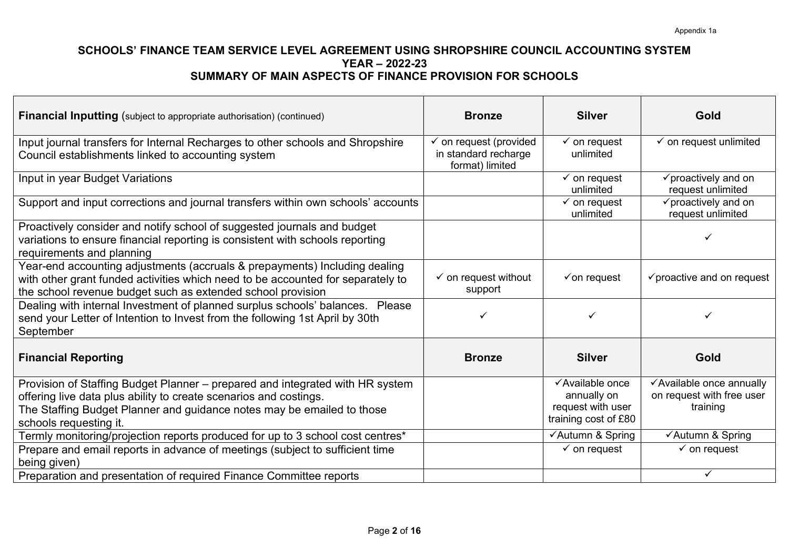| <b>Financial Inputting</b> (subject to appropriate authorisation) (continued)                                                                                                                                                                          | <b>Bronze</b>                                                   | <b>Silver</b>                                                               | Gold                                                              |
|--------------------------------------------------------------------------------------------------------------------------------------------------------------------------------------------------------------------------------------------------------|-----------------------------------------------------------------|-----------------------------------------------------------------------------|-------------------------------------------------------------------|
| Input journal transfers for Internal Recharges to other schools and Shropshire<br>Council establishments linked to accounting system                                                                                                                   | on request (provided<br>in standard recharge<br>format) limited | $\checkmark$ on request<br>unlimited                                        | $\checkmark$ on request unlimited                                 |
| Input in year Budget Variations                                                                                                                                                                                                                        |                                                                 | $\checkmark$ on request<br>unlimited                                        | $\checkmark$ proactively and on<br>request unlimited              |
| Support and input corrections and journal transfers within own schools' accounts                                                                                                                                                                       |                                                                 | $\checkmark$ on request<br>unlimited                                        | $\checkmark$ proactively and on<br>request unlimited              |
| Proactively consider and notify school of suggested journals and budget<br>variations to ensure financial reporting is consistent with schools reporting<br>requirements and planning                                                                  |                                                                 |                                                                             |                                                                   |
| Year-end accounting adjustments (accruals & prepayments) Including dealing<br>with other grant funded activities which need to be accounted for separately to<br>the school revenue budget such as extended school provision                           | $\checkmark$ on request without<br>support                      | $\checkmark$ on request                                                     | $\checkmark$ proactive and on request                             |
| Dealing with internal Investment of planned surplus schools' balances. Please<br>send your Letter of Intention to Invest from the following 1st April by 30th<br>September                                                                             | ✓                                                               |                                                                             | ✓                                                                 |
| <b>Financial Reporting</b>                                                                                                                                                                                                                             | <b>Bronze</b>                                                   | <b>Silver</b>                                                               | <b>Gold</b>                                                       |
| Provision of Staffing Budget Planner - prepared and integrated with HR system<br>offering live data plus ability to create scenarios and costings.<br>The Staffing Budget Planner and guidance notes may be emailed to those<br>schools requesting it. |                                                                 | √Available once<br>annually on<br>request with user<br>training cost of £80 | √Available once annually<br>on request with free user<br>training |
| Termly monitoring/projection reports produced for up to 3 school cost centres*                                                                                                                                                                         |                                                                 | √Autumn & Spring                                                            | ✔Autumn & Spring                                                  |
| Prepare and email reports in advance of meetings (subject to sufficient time<br>being given)                                                                                                                                                           |                                                                 | $\checkmark$ on request                                                     | $\checkmark$ on request                                           |
| Preparation and presentation of required Finance Committee reports                                                                                                                                                                                     |                                                                 |                                                                             |                                                                   |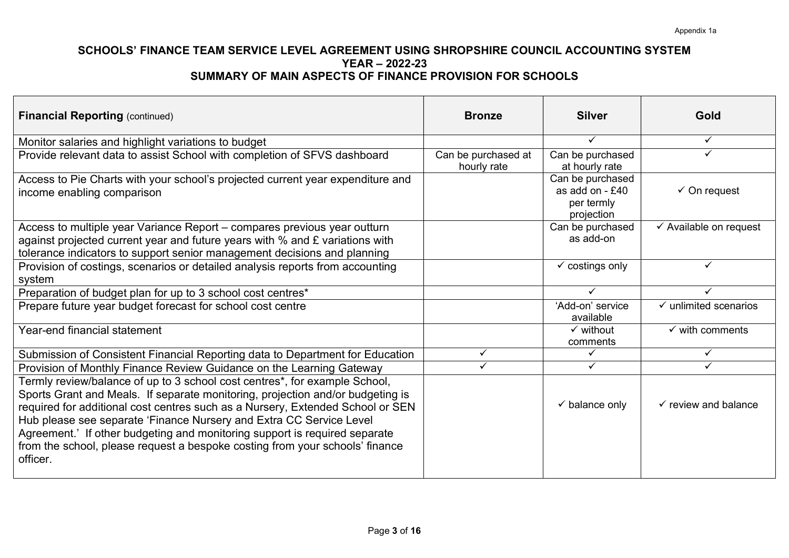| <b>Financial Reporting (continued)</b>                                                                                                                                                                                                                                                                                                                                                                                                                                                          | <b>Bronze</b>                      | <b>Silver</b>                                                    | Gold                              |
|-------------------------------------------------------------------------------------------------------------------------------------------------------------------------------------------------------------------------------------------------------------------------------------------------------------------------------------------------------------------------------------------------------------------------------------------------------------------------------------------------|------------------------------------|------------------------------------------------------------------|-----------------------------------|
| Monitor salaries and highlight variations to budget                                                                                                                                                                                                                                                                                                                                                                                                                                             |                                    | $\checkmark$                                                     | $\checkmark$                      |
| Provide relevant data to assist School with completion of SFVS dashboard                                                                                                                                                                                                                                                                                                                                                                                                                        | Can be purchased at<br>hourly rate | Can be purchased<br>at hourly rate                               | ✓                                 |
| Access to Pie Charts with your school's projected current year expenditure and<br>income enabling comparison                                                                                                                                                                                                                                                                                                                                                                                    |                                    | Can be purchased<br>as add on $-£40$<br>per termly<br>projection | $\checkmark$ On request           |
| Access to multiple year Variance Report – compares previous year outturn<br>against projected current year and future years with $%$ and £ variations with<br>tolerance indicators to support senior management decisions and planning                                                                                                                                                                                                                                                          |                                    | Can be purchased<br>as add-on                                    | $\checkmark$ Available on request |
| Provision of costings, scenarios or detailed analysis reports from accounting<br>system                                                                                                                                                                                                                                                                                                                                                                                                         |                                    | $\checkmark$ costings only                                       | $\checkmark$                      |
| Preparation of budget plan for up to 3 school cost centres*                                                                                                                                                                                                                                                                                                                                                                                                                                     |                                    | $\checkmark$                                                     | ✓                                 |
| Prepare future year budget forecast for school cost centre                                                                                                                                                                                                                                                                                                                                                                                                                                      |                                    | 'Add-on' service<br>available                                    | $\checkmark$ unlimited scenarios  |
| Year-end financial statement                                                                                                                                                                                                                                                                                                                                                                                                                                                                    |                                    | $\checkmark$ without<br>comments                                 | $\checkmark$ with comments        |
| Submission of Consistent Financial Reporting data to Department for Education                                                                                                                                                                                                                                                                                                                                                                                                                   | ✓                                  | $\checkmark$                                                     | ✓                                 |
| Provision of Monthly Finance Review Guidance on the Learning Gateway                                                                                                                                                                                                                                                                                                                                                                                                                            | ✓                                  | ✓                                                                | ✓                                 |
| Termly review/balance of up to 3 school cost centres*, for example School,<br>Sports Grant and Meals. If separate monitoring, projection and/or budgeting is<br>required for additional cost centres such as a Nursery, Extended School or SEN<br>Hub please see separate 'Finance Nursery and Extra CC Service Level<br>Agreement.' If other budgeting and monitoring support is required separate<br>from the school, please request a bespoke costing from your schools' finance<br>officer. |                                    | $\checkmark$ balance only                                        | $\checkmark$ review and balance   |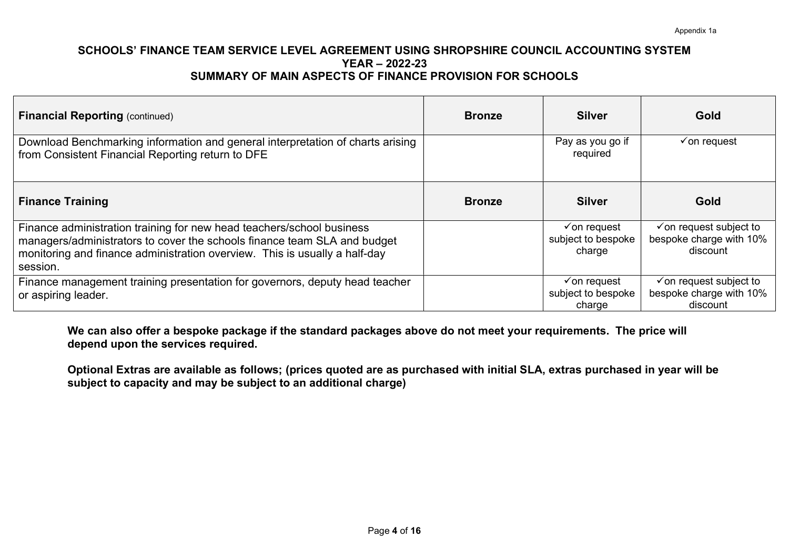| <b>Financial Reporting (continued)</b>                                                                                                                                                                                                      | <b>Bronze</b> | <b>Silver</b>                                           | Gold                                                                      |
|---------------------------------------------------------------------------------------------------------------------------------------------------------------------------------------------------------------------------------------------|---------------|---------------------------------------------------------|---------------------------------------------------------------------------|
| Download Benchmarking information and general interpretation of charts arising<br>from Consistent Financial Reporting return to DFE                                                                                                         |               | Pay as you go if<br>required                            | $\checkmark$ on request                                                   |
| <b>Finance Training</b>                                                                                                                                                                                                                     | <b>Bronze</b> | <b>Silver</b>                                           | Gold                                                                      |
| Finance administration training for new head teachers/school business<br>managers/administrators to cover the schools finance team SLA and budget<br>monitoring and finance administration overview. This is usually a half-day<br>session. |               | $\checkmark$ on request<br>subject to bespoke<br>charge | $\checkmark$ on request subject to<br>bespoke charge with 10%<br>discount |
| Finance management training presentation for governors, deputy head teacher<br>or aspiring leader.                                                                                                                                          |               | $\checkmark$ on request<br>subject to bespoke<br>charge | $\checkmark$ on request subject to<br>bespoke charge with 10%<br>discount |

We can also offer a bespoke package if the standard packages above do not meet your requirements. The price will depend upon the services required.

Optional Extras are available as follows; (prices quoted are as purchased with initial SLA, extras purchased in year will be subject to capacity and may be subject to an additional charge)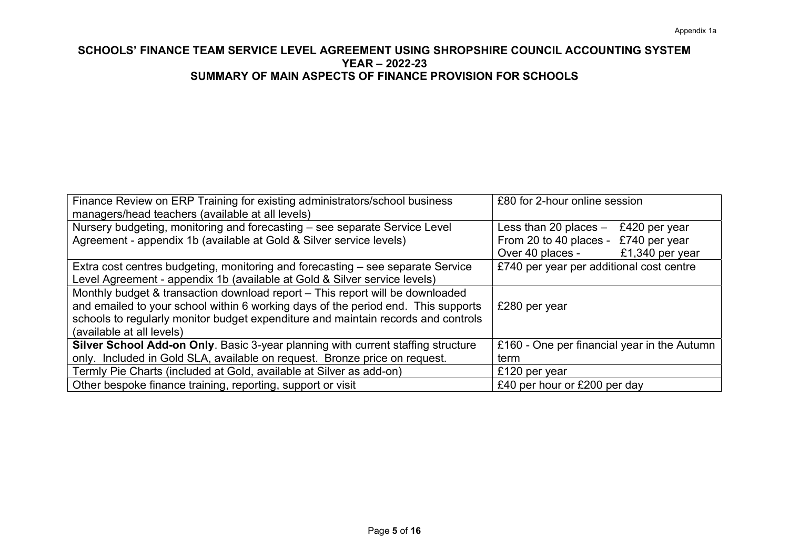| Finance Review on ERP Training for existing administrators/school business        | £80 for 2-hour online session               |
|-----------------------------------------------------------------------------------|---------------------------------------------|
| managers/head teachers (available at all levels)                                  |                                             |
| Nursery budgeting, monitoring and forecasting – see separate Service Level        | Less than 20 places $-$<br>£420 per year    |
| Agreement - appendix 1b (available at Gold & Silver service levels)               | From 20 to 40 places - £740 per year        |
|                                                                                   | £1,340 per year<br>Over 40 places -         |
| Extra cost centres budgeting, monitoring and forecasting – see separate Service   | £740 per year per additional cost centre    |
| Level Agreement - appendix 1b (available at Gold & Silver service levels)         |                                             |
| Monthly budget & transaction download report – This report will be downloaded     |                                             |
| and emailed to your school within 6 working days of the period end. This supports | £280 per year                               |
| schools to regularly monitor budget expenditure and maintain records and controls |                                             |
| (available at all levels)                                                         |                                             |
| Silver School Add-on Only. Basic 3-year planning with current staffing structure  | £160 - One per financial year in the Autumn |
| only. Included in Gold SLA, available on request. Bronze price on request.        | term                                        |
| Termly Pie Charts (included at Gold, available at Silver as add-on)               | £120 per year                               |
| Other bespoke finance training, reporting, support or visit                       | £40 per hour or £200 per day                |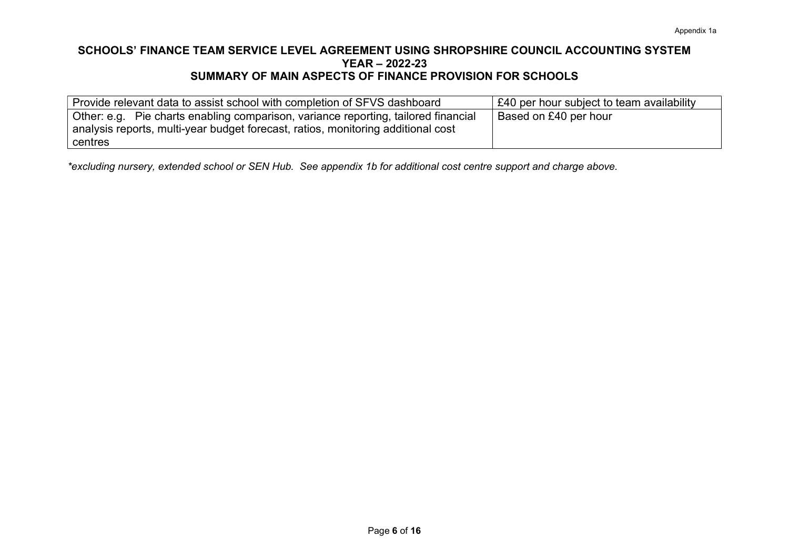| Provide relevant data to assist school with completion of SFVS dashboard           | £40 per hour subject to team availability |
|------------------------------------------------------------------------------------|-------------------------------------------|
| Other: e.g. Pie charts enabling comparison, variance reporting, tailored financial | Based on £40 per hour                     |
| analysis reports, multi-year budget forecast, ratios, monitoring additional cost   |                                           |
| centres                                                                            |                                           |

\*excluding nursery, extended school or SEN Hub. See appendix 1b for additional cost centre support and charge above.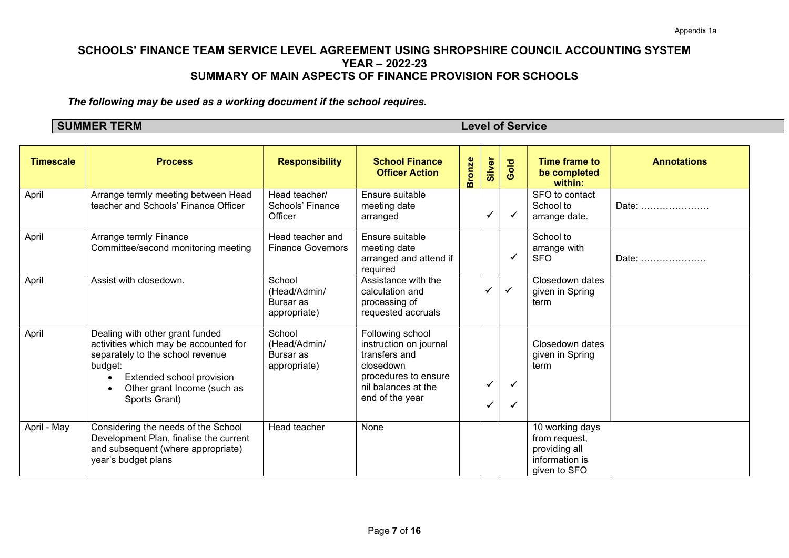The following may be used as a working document if the school requires.

SUMMER TERM Level of Service

| <b>Timescale</b> | <b>Process</b>                                                                                                                                                                                       | <b>Responsibility</b>                               | <b>School Finance</b><br><b>Officer Action</b>                                                                                             | <b>Bronze</b> | Silver                  | Gold         | <b>Time frame to</b><br>be completed<br>within:                                     | <b>Annotations</b> |
|------------------|------------------------------------------------------------------------------------------------------------------------------------------------------------------------------------------------------|-----------------------------------------------------|--------------------------------------------------------------------------------------------------------------------------------------------|---------------|-------------------------|--------------|-------------------------------------------------------------------------------------|--------------------|
| April            | Arrange termly meeting between Head<br>teacher and Schools' Finance Officer                                                                                                                          | Head teacher/<br>Schools' Finance<br>Officer        | Ensure suitable<br>meeting date<br>arranged                                                                                                |               | $\overline{\mathbf{v}}$ | $\checkmark$ | SFO to contact<br>School to<br>arrange date.                                        | Date:              |
| April            | Arrange termly Finance<br>Committee/second monitoring meeting                                                                                                                                        | Head teacher and<br><b>Finance Governors</b>        | Ensure suitable<br>meeting date<br>arranged and attend if<br>required                                                                      |               |                         | ✔            | School to<br>arrange with<br><b>SFO</b>                                             | Date:              |
| April            | Assist with closedown.                                                                                                                                                                               | School<br>(Head/Admin/<br>Bursar as<br>appropriate) | Assistance with the<br>calculation and<br>processing of<br>requested accruals                                                              |               |                         | $\checkmark$ | Closedown dates<br>given in Spring<br>term                                          |                    |
| April            | Dealing with other grant funded<br>activities which may be accounted for<br>separately to the school revenue<br>budget:<br>Extended school provision<br>Other grant Income (such as<br>Sports Grant) | School<br>(Head/Admin/<br>Bursar as<br>appropriate) | Following school<br>instruction on journal<br>transfers and<br>closedown<br>procedures to ensure<br>nil balances at the<br>end of the year |               | ✔                       | ✓<br>✔       | Closedown dates<br>given in Spring<br>term                                          |                    |
| April - May      | Considering the needs of the School<br>Development Plan, finalise the current<br>and subsequent (where appropriate)<br>year's budget plans                                                           | Head teacher                                        | None                                                                                                                                       |               |                         |              | 10 working days<br>from request,<br>providing all<br>information is<br>given to SFO |                    |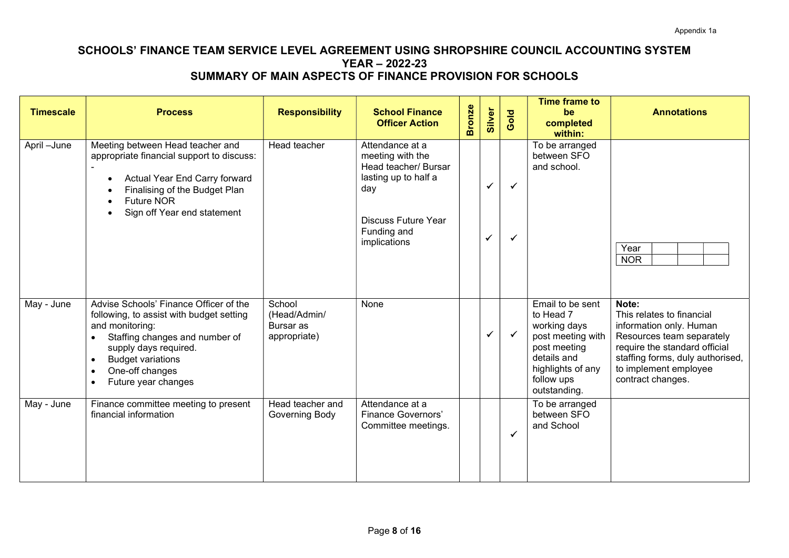| <b>Timescale</b>         | <b>Process</b>                                                                                                                                                                                                                                                                | <b>Responsibility</b>                               | <b>School Finance</b><br><b>Officer Action</b>                                                                                                          | <b>Bronze</b> | Silver            | Gold                         | <b>Time frame to</b><br>be<br>completed<br>within:                                                                                                   | <b>Annotations</b>                                                                                                                                                                                            |
|--------------------------|-------------------------------------------------------------------------------------------------------------------------------------------------------------------------------------------------------------------------------------------------------------------------------|-----------------------------------------------------|---------------------------------------------------------------------------------------------------------------------------------------------------------|---------------|-------------------|------------------------------|------------------------------------------------------------------------------------------------------------------------------------------------------|---------------------------------------------------------------------------------------------------------------------------------------------------------------------------------------------------------------|
| April-June               | Meeting between Head teacher and<br>appropriate financial support to discuss:<br>Actual Year End Carry forward<br>$\bullet$<br>Finalising of the Budget Plan<br><b>Future NOR</b><br>Sign off Year end statement<br>$\bullet$                                                 | Head teacher                                        | Attendance at a<br>meeting with the<br>Head teacher/ Bursar<br>lasting up to half a<br>day<br><b>Discuss Future Year</b><br>Funding and<br>implications |               | ✓<br>$\checkmark$ | $\checkmark$<br>$\checkmark$ | To be arranged<br>between SFO<br>and school.                                                                                                         | Year<br><b>NOR</b>                                                                                                                                                                                            |
| May - June               | Advise Schools' Finance Officer of the<br>following, to assist with budget setting<br>and monitoring:<br>Staffing changes and number of<br>supply days required.<br><b>Budget variations</b><br>$\bullet$<br>One-off changes<br>$\bullet$<br>Future year changes<br>$\bullet$ | School<br>(Head/Admin/<br>Bursar as<br>appropriate) | None                                                                                                                                                    |               | ✔                 | $\checkmark$                 | Email to be sent<br>to Head 7<br>working days<br>post meeting with<br>post meeting<br>details and<br>highlights of any<br>follow ups<br>outstanding. | Note:<br>This relates to financial<br>information only. Human<br>Resources team separately<br>require the standard official<br>staffing forms, duly authorised,<br>to implement employee<br>contract changes. |
| $\overline{M}$ ay - June | Finance committee meeting to present<br>financial information                                                                                                                                                                                                                 | Head teacher and<br>Governing Body                  | Attendance at a<br><b>Finance Governors'</b><br>Committee meetings.                                                                                     |               |                   | ✓                            | To be arranged<br>between SFO<br>and School                                                                                                          |                                                                                                                                                                                                               |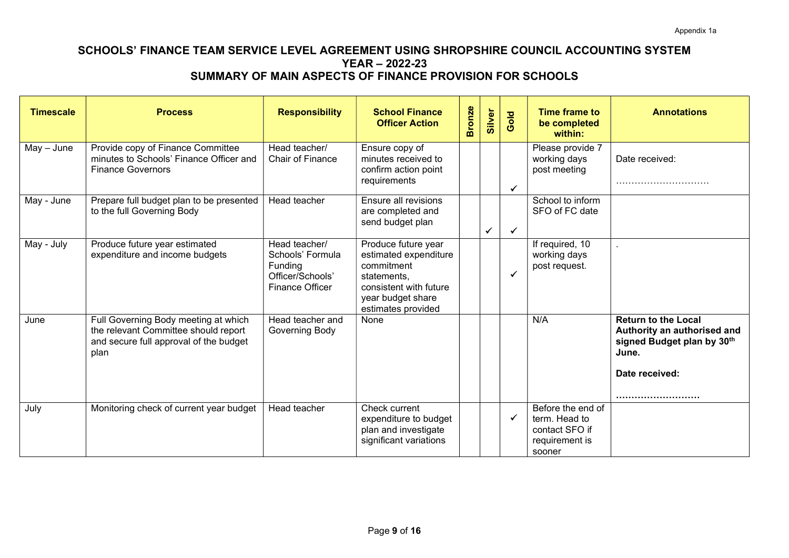| <b>Timescale</b> | <b>Process</b>                                                                                                                 | <b>Responsibility</b>                                                                      | <b>School Finance</b><br><b>Officer Action</b>                                                                                                 | <b>Bronze</b> | Silver       | ol <sub>O</sub><br>Õ | Time frame to<br>be completed<br>within:                                         | <b>Annotations</b>                                                                                                 |
|------------------|--------------------------------------------------------------------------------------------------------------------------------|--------------------------------------------------------------------------------------------|------------------------------------------------------------------------------------------------------------------------------------------------|---------------|--------------|----------------------|----------------------------------------------------------------------------------|--------------------------------------------------------------------------------------------------------------------|
| $May - June$     | Provide copy of Finance Committee<br>minutes to Schools' Finance Officer and<br><b>Finance Governors</b>                       | Head teacher/<br>Chair of Finance                                                          | Ensure copy of<br>minutes received to<br>confirm action point<br>requirements                                                                  |               |              | $\checkmark$         | Please provide 7<br>working days<br>post meeting                                 | Date received:                                                                                                     |
| May - June       | Prepare full budget plan to be presented<br>to the full Governing Body                                                         | Head teacher                                                                               | Ensure all revisions<br>are completed and<br>send budget plan                                                                                  |               | $\checkmark$ |                      | School to inform<br>SFO of FC date                                               |                                                                                                                    |
| May - July       | Produce future year estimated<br>expenditure and income budgets                                                                | Head teacher/<br>Schools' Formula<br>Funding<br>Officer/Schools'<br><b>Finance Officer</b> | Produce future year<br>estimated expenditure<br>commitment<br>statements,<br>consistent with future<br>year budget share<br>estimates provided |               |              | $\checkmark$         | If required, 10<br>working days<br>post request.                                 |                                                                                                                    |
| June             | Full Governing Body meeting at which<br>the relevant Committee should report<br>and secure full approval of the budget<br>plan | Head teacher and<br>Governing Body                                                         | None                                                                                                                                           |               |              |                      | N/A                                                                              | <b>Return to the Local</b><br>Authority an authorised and<br>signed Budget plan by 30th<br>June.<br>Date received: |
| July             | Monitoring check of current year budget                                                                                        | Head teacher                                                                               | Check current<br>expenditure to budget<br>plan and investigate<br>significant variations                                                       |               |              | $\checkmark$         | Before the end of<br>term. Head to<br>contact SFO if<br>requirement is<br>sooner |                                                                                                                    |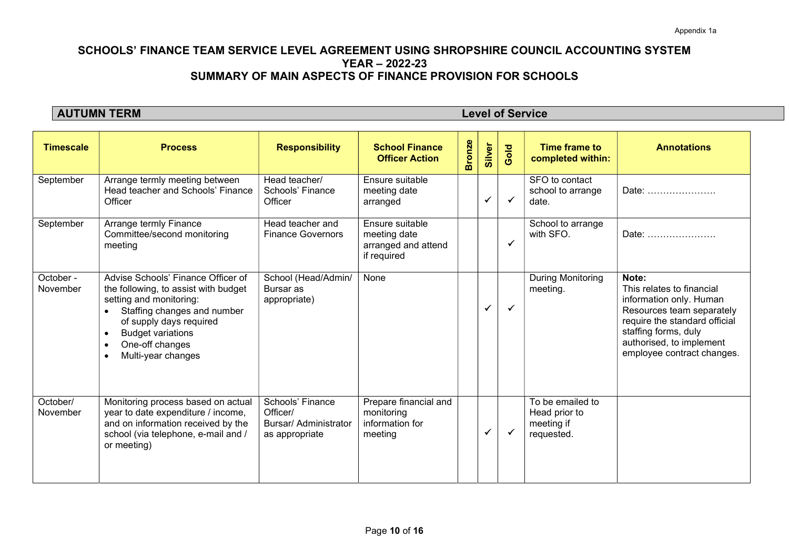**AUTUMN TERM** Level of Service

| <b>Timescale</b>      | <b>Process</b>                                                                                                                                                                                                                                                                           | <b>Responsibility</b>                                                          | <b>School Finance</b><br><b>Officer Action</b>                        | <b>Bronze</b> | Silver | Gold         | Time frame to<br>completed within:                            | <b>Annotations</b>                                                                                                                                                                                            |
|-----------------------|------------------------------------------------------------------------------------------------------------------------------------------------------------------------------------------------------------------------------------------------------------------------------------------|--------------------------------------------------------------------------------|-----------------------------------------------------------------------|---------------|--------|--------------|---------------------------------------------------------------|---------------------------------------------------------------------------------------------------------------------------------------------------------------------------------------------------------------|
| September             | Arrange termly meeting between<br>Head teacher and Schools' Finance<br>Officer                                                                                                                                                                                                           | Head teacher/<br>Schools' Finance<br>Officer                                   | Ensure suitable<br>meeting date<br>arranged                           |               | ✔      | ✓            | SFO to contact<br>school to arrange<br>date.                  | Date:                                                                                                                                                                                                         |
| September             | Arrange termly Finance<br>Committee/second monitoring<br>meeting                                                                                                                                                                                                                         | Head teacher and<br><b>Finance Governors</b>                                   | Ensure suitable<br>meeting date<br>arranged and attend<br>if required |               |        | ✔            | School to arrange<br>with SFO.                                | Date:                                                                                                                                                                                                         |
| October -<br>November | Advise Schools' Finance Officer of<br>the following, to assist with budget<br>setting and monitoring:<br>Staffing changes and number<br>$\bullet$<br>of supply days required<br><b>Budget variations</b><br>$\bullet$<br>One-off changes<br>$\bullet$<br>Multi-year changes<br>$\bullet$ | School (Head/Admin/<br>Bursar as<br>appropriate)                               | None                                                                  |               | ✓      | $\checkmark$ | <b>During Monitoring</b><br>meeting.                          | Note:<br>This relates to financial<br>information only. Human<br>Resources team separately<br>require the standard official<br>staffing forms, duly<br>authorised, to implement<br>employee contract changes. |
| October/<br>November  | Monitoring process based on actual<br>year to date expenditure / income,<br>and on information received by the<br>school (via telephone, e-mail and /<br>or meeting)                                                                                                                     | Schools' Finance<br>Officer/<br><b>Bursar/ Administrator</b><br>as appropriate | Prepare financial and<br>monitoring<br>information for<br>meeting     |               | ✓      | $\checkmark$ | To be emailed to<br>Head prior to<br>meeting if<br>requested. |                                                                                                                                                                                                               |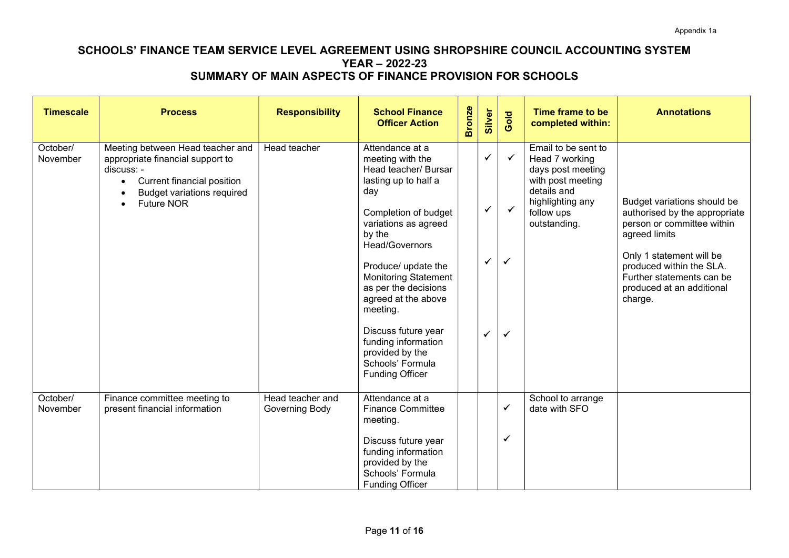| <b>Timescale</b>     | <b>Process</b>                                                                                                                                                                                                    | <b>Responsibility</b>              | <b>School Finance</b><br><b>Officer Action</b>                                                                                                                                                                                                                                                                                                                                                         | <b>Bronze</b> | Silver                                            | Gold                                                         | Time frame to be<br>completed within:                                                                                                            | <b>Annotations</b>                                                                                                                                                                                                                       |
|----------------------|-------------------------------------------------------------------------------------------------------------------------------------------------------------------------------------------------------------------|------------------------------------|--------------------------------------------------------------------------------------------------------------------------------------------------------------------------------------------------------------------------------------------------------------------------------------------------------------------------------------------------------------------------------------------------------|---------------|---------------------------------------------------|--------------------------------------------------------------|--------------------------------------------------------------------------------------------------------------------------------------------------|------------------------------------------------------------------------------------------------------------------------------------------------------------------------------------------------------------------------------------------|
| October/<br>November | Meeting between Head teacher and<br>appropriate financial support to<br>discuss: -<br>Current financial position<br>$\bullet$<br><b>Budget variations required</b><br>$\bullet$<br><b>Future NOR</b><br>$\bullet$ | Head teacher                       | Attendance at a<br>meeting with the<br>Head teacher/ Bursar<br>lasting up to half a<br>day<br>Completion of budget<br>variations as agreed<br>by the<br>Head/Governors<br>Produce/ update the<br><b>Monitoring Statement</b><br>as per the decisions<br>agreed at the above<br>meeting.<br>Discuss future year<br>funding information<br>provided by the<br>Schools' Formula<br><b>Funding Officer</b> |               | $\checkmark$<br>$\checkmark$<br>$\checkmark$<br>✔ | $\checkmark$<br>$\checkmark$<br>$\checkmark$<br>$\checkmark$ | Email to be sent to<br>Head 7 working<br>days post meeting<br>with post meeting<br>details and<br>highlighting any<br>follow ups<br>outstanding. | Budget variations should be<br>authorised by the appropriate<br>person or committee within<br>agreed limits<br>Only 1 statement will be<br>produced within the SLA.<br>Further statements can be<br>produced at an additional<br>charge. |
| October/<br>November | Finance committee meeting to<br>present financial information                                                                                                                                                     | Head teacher and<br>Governing Body | Attendance at a<br><b>Finance Committee</b><br>meeting.<br>Discuss future year<br>funding information<br>provided by the<br>Schools' Formula<br><b>Funding Officer</b>                                                                                                                                                                                                                                 |               |                                                   | ✓<br>$\checkmark$                                            | School to arrange<br>date with SFO                                                                                                               |                                                                                                                                                                                                                                          |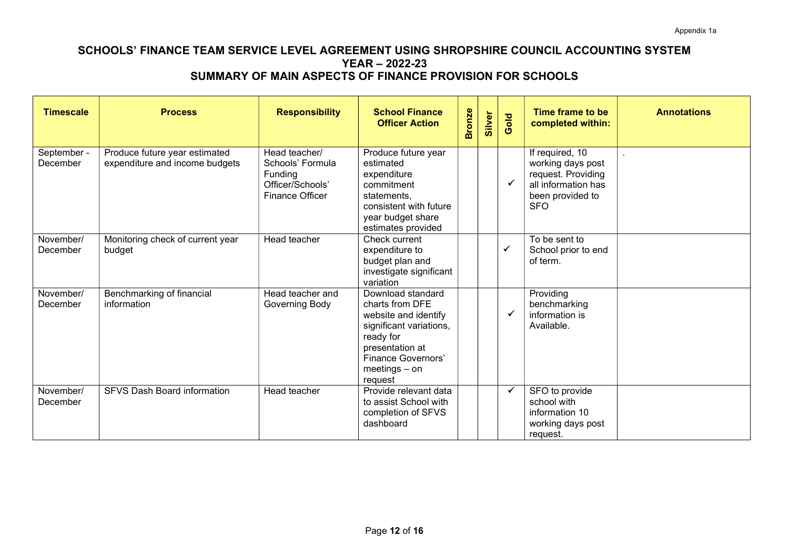| <b>Timescale</b>        | <b>Process</b>                                                  | <b>Responsibility</b>                                                                      | <b>School Finance</b><br><b>Officer Action</b>                                                                                                                              | <b>Bronze</b> | Silver | Gold         | Time frame to be<br>completed within:                                                                               | <b>Annotations</b> |
|-------------------------|-----------------------------------------------------------------|--------------------------------------------------------------------------------------------|-----------------------------------------------------------------------------------------------------------------------------------------------------------------------------|---------------|--------|--------------|---------------------------------------------------------------------------------------------------------------------|--------------------|
| September -<br>December | Produce future year estimated<br>expenditure and income budgets | Head teacher/<br>Schools' Formula<br>Funding<br>Officer/Schools'<br><b>Finance Officer</b> | Produce future year<br>estimated<br>expenditure<br>commitment<br>statements,<br>consistent with future<br>year budget share<br>estimates provided                           |               |        |              | If required, 10<br>working days post<br>request. Providing<br>all information has<br>been provided to<br><b>SFO</b> |                    |
| November/<br>December   | Monitoring check of current year<br>budget                      | Head teacher                                                                               | Check current<br>expenditure to<br>budget plan and<br>investigate significant<br>variation                                                                                  |               |        | ✓            | To be sent to<br>School prior to end<br>of term.                                                                    |                    |
| November/<br>December   | Benchmarking of financial<br>information                        | Head teacher and<br>Governing Body                                                         | Download standard<br>charts from DFE<br>website and identify<br>significant variations,<br>ready for<br>presentation at<br>Finance Governors'<br>$meetings - on$<br>request |               |        |              | Providing<br>benchmarking<br>information is<br>Available.                                                           |                    |
| November/<br>December   | SFVS Dash Board information                                     | Head teacher                                                                               | Provide relevant data<br>to assist School with<br>completion of SFVS<br>dashboard                                                                                           |               |        | $\checkmark$ | SFO to provide<br>school with<br>information 10<br>working days post<br>request.                                    |                    |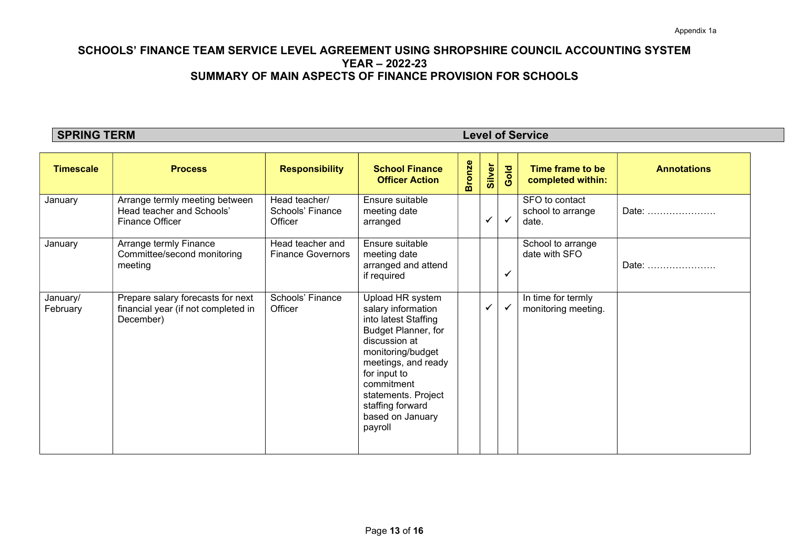**SPRING TERM** Level of Service

| <b>Timescale</b>     | <b>Process</b>                                                                        | <b>Responsibility</b>                        | <b>School Finance</b><br><b>Officer Action</b>                                                                                                                                                                                                             | <b>Bronze</b> | Silver       | Gold         | Time frame to be<br>completed within:        | <b>Annotations</b> |
|----------------------|---------------------------------------------------------------------------------------|----------------------------------------------|------------------------------------------------------------------------------------------------------------------------------------------------------------------------------------------------------------------------------------------------------------|---------------|--------------|--------------|----------------------------------------------|--------------------|
| January              | Arrange termly meeting between<br>Head teacher and Schools'<br>Finance Officer        | Head teacher/<br>Schools' Finance<br>Officer | Ensure suitable<br>meeting date<br>arranged                                                                                                                                                                                                                |               | $\checkmark$ | $\checkmark$ | SFO to contact<br>school to arrange<br>date. | Date:              |
| January              | Arrange termly Finance<br>Committee/second monitoring<br>meeting                      | Head teacher and<br><b>Finance Governors</b> | Ensure suitable<br>meeting date<br>arranged and attend<br>if required                                                                                                                                                                                      |               |              | ✔            | School to arrange<br>date with SFO           | Date:              |
| January/<br>February | Prepare salary forecasts for next<br>financial year (if not completed in<br>December) | Schools' Finance<br>Officer                  | Upload HR system<br>salary information<br>into latest Staffing<br>Budget Planner, for<br>discussion at<br>monitoring/budget<br>meetings, and ready<br>for input to<br>commitment<br>statements. Project<br>staffing forward<br>based on January<br>payroll |               | $\checkmark$ | $\checkmark$ | In time for termly<br>monitoring meeting.    |                    |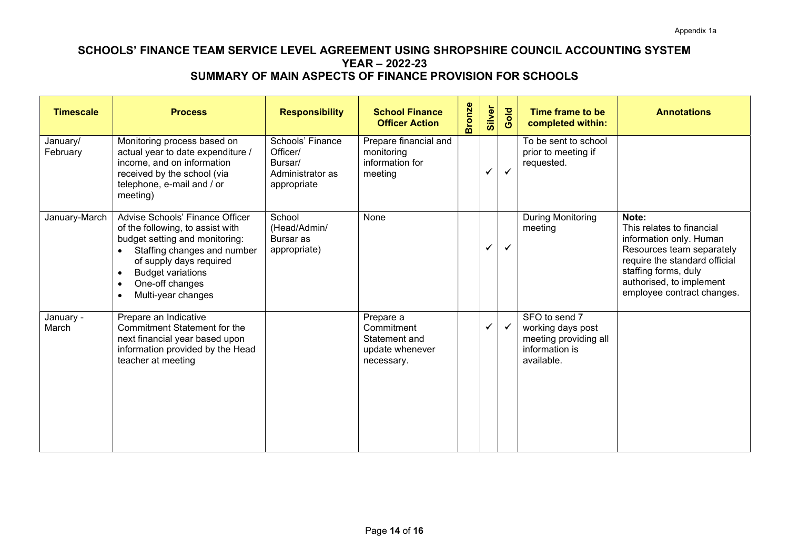| <b>Timescale</b>     | <b>Process</b>                                                                                                                                                                                                                                                              | <b>Responsibility</b>                                                      | <b>School Finance</b><br><b>Officer Action</b>                            | <b>Bronze</b> | Silver       | Gold         | Time frame to be<br>completed within:                                                       | <b>Annotations</b>                                                                                                                                                                                            |
|----------------------|-----------------------------------------------------------------------------------------------------------------------------------------------------------------------------------------------------------------------------------------------------------------------------|----------------------------------------------------------------------------|---------------------------------------------------------------------------|---------------|--------------|--------------|---------------------------------------------------------------------------------------------|---------------------------------------------------------------------------------------------------------------------------------------------------------------------------------------------------------------|
| January/<br>February | Monitoring process based on<br>actual year to date expenditure /<br>income, and on information<br>received by the school (via<br>telephone, e-mail and / or<br>meeting)                                                                                                     | Schools' Finance<br>Officer/<br>Bursar/<br>Administrator as<br>appropriate | Prepare financial and<br>monitoring<br>information for<br>meeting         |               |              | $\checkmark$ | To be sent to school<br>prior to meeting if<br>requested.                                   |                                                                                                                                                                                                               |
| January-March        | Advise Schools' Finance Officer<br>of the following, to assist with<br>budget setting and monitoring:<br>Staffing changes and number<br>of supply days required<br><b>Budget variations</b><br>$\bullet$<br>One-off changes<br>$\bullet$<br>Multi-year changes<br>$\bullet$ | School<br>(Head/Admin/<br>Bursar as<br>appropriate)                        | None                                                                      |               | $\checkmark$ | $\checkmark$ | During Monitoring<br>meeting                                                                | Note:<br>This relates to financial<br>information only. Human<br>Resources team separately<br>require the standard official<br>staffing forms, duly<br>authorised, to implement<br>employee contract changes. |
| January -<br>March   | Prepare an Indicative<br>Commitment Statement for the<br>next financial year based upon<br>information provided by the Head<br>teacher at meeting                                                                                                                           |                                                                            | Prepare a<br>Commitment<br>Statement and<br>update whenever<br>necessary. |               | ✓            |              | SFO to send 7<br>working days post<br>meeting providing all<br>information is<br>available. |                                                                                                                                                                                                               |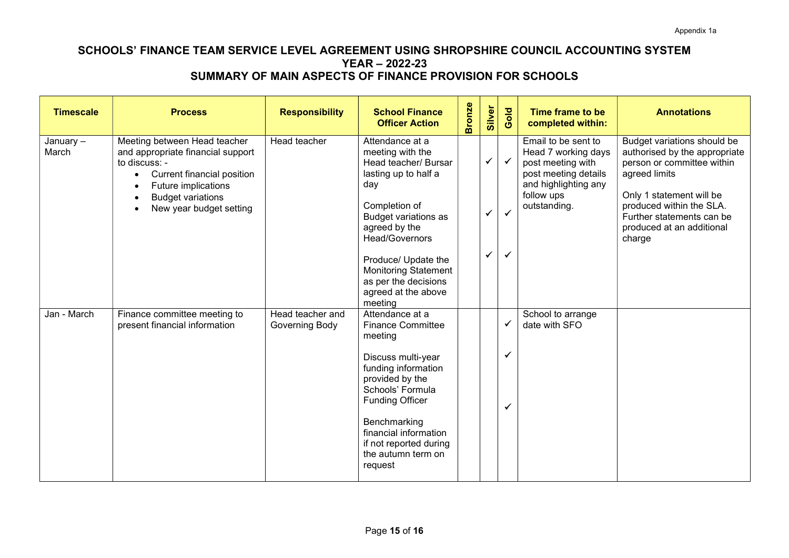| <b>Timescale</b>     | <b>Process</b>                                                                                                                                                                                                                               | <b>Responsibility</b>              | <b>School Finance</b><br><b>Officer Action</b>                                                                                                                       | <b>Bronze</b> | Silver                       | Gold                         | Time frame to be<br>completed within:                                                                                                         | <b>Annotations</b>                                                                                                                                                                                                            |
|----------------------|----------------------------------------------------------------------------------------------------------------------------------------------------------------------------------------------------------------------------------------------|------------------------------------|----------------------------------------------------------------------------------------------------------------------------------------------------------------------|---------------|------------------------------|------------------------------|-----------------------------------------------------------------------------------------------------------------------------------------------|-------------------------------------------------------------------------------------------------------------------------------------------------------------------------------------------------------------------------------|
| January $-$<br>March | Meeting between Head teacher<br>and appropriate financial support<br>to discuss: -<br><b>Current financial position</b><br>$\bullet$<br>Future implications<br><b>Budget variations</b><br>$\bullet$<br>New year budget setting<br>$\bullet$ | Head teacher                       | Attendance at a<br>meeting with the<br>Head teacher/ Bursar<br>lasting up to half a<br>day<br>Completion of<br><b>Budget variations as</b><br>agreed by the          |               | $\checkmark$<br>$\checkmark$ | $\checkmark$<br>$\checkmark$ | Email to be sent to<br>Head 7 working days<br>post meeting with<br>post meeting details<br>and highlighting any<br>follow ups<br>outstanding. | Budget variations should be<br>authorised by the appropriate<br>person or committee within<br>agreed limits<br>Only 1 statement will be<br>produced within the SLA.<br>Further statements can be<br>produced at an additional |
|                      |                                                                                                                                                                                                                                              |                                    | Head/Governors<br>Produce/ Update the<br><b>Monitoring Statement</b><br>as per the decisions<br>agreed at the above<br>meeting                                       |               | $\checkmark$                 | ✓                            |                                                                                                                                               | charge                                                                                                                                                                                                                        |
| Jan - March          | Finance committee meeting to<br>present financial information                                                                                                                                                                                | Head teacher and<br>Governing Body | Attendance at a<br><b>Finance Committee</b><br>meeting<br>Discuss multi-year<br>funding information<br>provided by the<br>Schools' Formula<br><b>Funding Officer</b> |               |                              | ✓<br>✓<br>✓                  | School to arrange<br>date with SFO                                                                                                            |                                                                                                                                                                                                                               |
|                      |                                                                                                                                                                                                                                              |                                    | Benchmarking<br>financial information<br>if not reported during<br>the autumn term on<br>request                                                                     |               |                              |                              |                                                                                                                                               |                                                                                                                                                                                                                               |